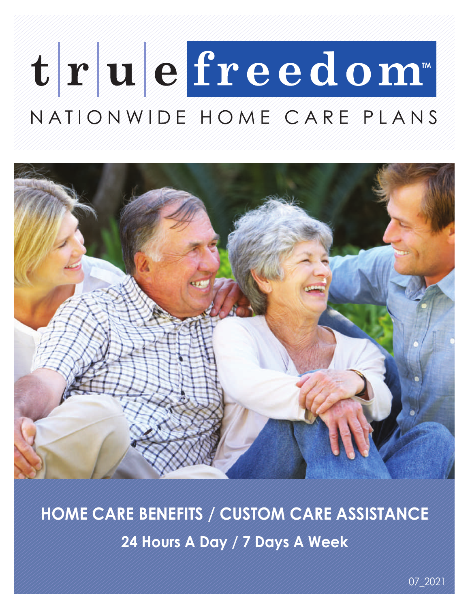# **TM TM** NATIONWIDE HOME CARE PLANS



**HOME CARE BENEFITS / CUSTOM CARE ASSISTANCE HOME CARE BENEFITS / CUSTOM CARE ASSISTANCE 24 Hours A Day / 7 Days A Week 24 Hours A Day / 7 Days A Week**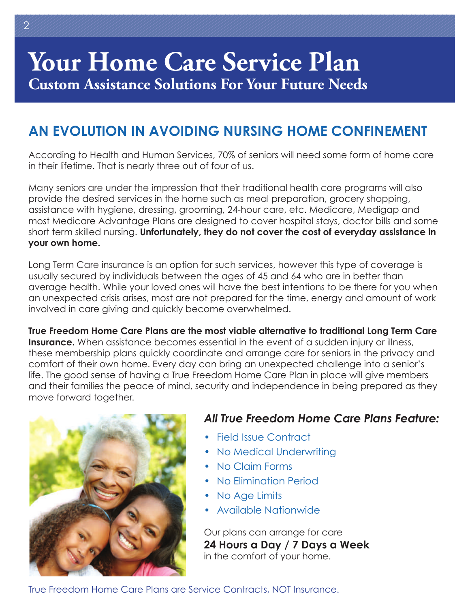## **Your Home Care Service Plan Your Home Care Service Plan Custom Assistance Solutions For Your Future Needs Custom Assistance Solutions For Your Future Needs**

## **AN EVOLUTION IN AVOIDING NURSING HOME CONFINEMENT AN EVOLUTION IN AVOIDING NURSING HOME CONFINEMENT**

According to Health and Human Services, 70% of seniors will need some form of home care According to Health and Human Services, 70% of seniors will need some form of home care in their lifetime. That is nearly three out of four of us. in their lifetime. That is nearly three out of four of us.

Many seniors are under the impression that their traditional health care programs will also Many seniors are under the impression that their traditional health care programs will also provide the desired services in the home such as meal preparation, grocery shopping, provide the desired services in the home such as meal preparation, grocery shopping, assistance with hygiene, dressing, grooming, 24-hour care, etc. Medicare, Medigap and assistance with hygiene, dressing, grooming, 24-hour care, etc. Medicare, Medigap and most Medicare Advantage Plans are designed to cover hospital stays, doctor bills and some most Medicare Advantage Plans are designed to cover hospital stays, doctor bills and some short term skilled nursing. **Unfortunately, they do not cover the cost of everyday assistance in**  short term skilled nursing. **Unfortunately, they do not cover the cost of everyday assistance in your own home. your own home.** 

Long Term Care insurance is an option for such services, however this type of coverage is Long Term Care insurance is an option for such services, however this type of coverage is usually secured by individuals between the ages of 45 and 64 who are in better than usually secured by individuals between the ages of 45 and 64 who are in better than average health. While your loved ones will have the best intentions to be there for you when average health. While your loved ones will have the best intentions to be there for you when an unexpected crisis arises, most are not prepared for the time, energy and amount of work an unexpected crisis arises, most are not prepared for the time, energy and amount of work involved in care giving and quickly become overwhelmed. involved in care giving and quickly become overwhelmed.

**True Freedom Home Care Plans are the most viable alternative to traditional Long Term Care True Freedom Home Care Plans are the most viable alternative to traditional Long Term Care Insurance.** When assistance becomes essential in the event of a sudden injury or illness, **Insurance.** When assistance becomes essential in the event of a sudden injury or illness, these membership plans quickly coordinate and arrange care for seniors in the privacy and these membership plans quickly coordinate and arrange care for seniors in the privacy and comfort of their own home. Every day can bring an unexpected challenge into a senior's comfort of their own home. Every day can bring an unexpected challenge into a senior's life. The good sense of having a True Freedom Home Care Plan in place will give members life. The good sense of having a True Freedom Home Care Plan in place will give members and their families the peace of mind, security and independence in being prepared as they and their families the peace of mind, security and independence in being prepared as they move forward together. move forward together.



### *All True Freedom Home Care Plans Feature: All True Freedom Home Care Plans Feature:*

- Field Issue Contract Field Issue Contract
- No Medical Underwriting No Medical Underwriting
- No Claim Forms No Claim Forms
- No Elimination Period No Elimination Period
- No Age Limits No Age Limits
- Available Nationwide Available Nationwide

Our plans can arrange for care Our plans can arrange for care **24 Hours a Day / 7 Days a Week 24 Hours a Day / 7 Days a Week** in the comfort of your home. in the comfort of your home.

True Freedom Home Care Plans are Service Contracts, NOT Insurance. True Freedom Home Care Plans are Service Contracts, NOT Insurance.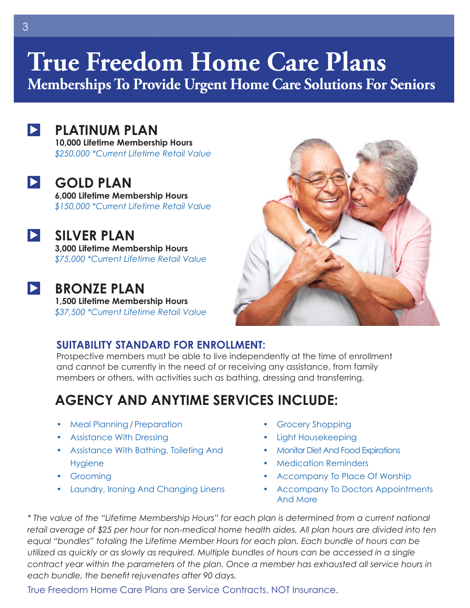## **True Freedom Home Care Plans True Freedom Home Care Plans**

**Memberships To Provide Urgent Home Care Solutions For Seniors Memberships To Provide Urgent Home Care Solutions For Seniors**

## **PLATINUM PLAN PLATINUM PLAN**

**10,000 Lifetime Membership Hours 10,000 Lifetime Membership Hours** *\$250,000 \*Current Lifetime Retail Value \$250,000 \*Current Lifetime Retail Value*

## **GOLD PLAN GOLD PLAN**

**6,000 Lifetime Membership Hours 6,000 Lifetime Membership Hours** *\$150,000 \*Current Lifetime Retail Value \$150,000 \*Current Lifetime Retail Value*

## **SILVER PLAN SILVER PLAN**

**3,000 Lifetime Membership Hours 3,000 Lifetime Membership Hours** *\$75,000 \*Current Lifetime Retail Value \$75,000 \*Current Lifetime Retail Value*

#### **BRONZE PLAN BRONZE PLAN**  $\blacktriangleright$

**1,500 Lifetime Membership Hours 1,500 Lifetime Membership Hours** *\$37,500 \*Current Lifetime Retail Value \$37,500 \*Current Lifetime Retail Value*



#### **SUITABILITY STANDARD FOR ENROLLMENT: SUITABILITY STANDARD FOR ENROLLMENT:**

Prospective members must be able to live independently at the time of enrollment Prospective members must be able to live independently at the time of enrollment and cannot be currently in the need of or receiving any assistance, from family and cannot be currently in the need of or receiving any assistance, from family members or others, with activities such as bathing, dressing and transferring. members or others, with activities such as bathing, dressing and transferring.

## **AGENCY AND ANYTIME SERVICES INCLUDE: AGENCY AND ANYTIME SERVICES INCLUDE:**

- Meal Planning / Preparation Grocery Shopping
- Assistance With Dressing  **Light Housekeeping**
- Assistance With Bathing, Toileting And Monitor Diet And Food Expirations Hygiene • Medication Reminders Hygiene • Medication Reminders
- 
- Laundry, Ironing And Changing Linens
- 
- 
- 
- 
- Grooming Crooming Accompany To Place Of Worship
- And More And More • Accompany To Doctors Appointments

*\* The value of the "Lifetime Membership Hours" for each plan is determined from a current national \* The value of the "Lifetime Membership Hours" for each plan is determined from a current national retail average of \$25 per hour for non-medical home health aides. All plan hours are divided into ten retail average of \$25 per hour for non-medical home health aides. All plan hours are divided into ten equal "bundles" totaling the Lifetime Member Hours for each plan. Each bundle of hours can be equal "bundles" totaling the Lifetime Member Hours for each plan. Each bundle of hours can be utilized as quickly or as slowly as required. Multiple bundles of hours can be accessed in a single utilized as quickly or as slowly as required. Multiple bundles of hours can be accessed in a single contract year within the parameters of the plan. Once a member has exhausted all service hours in contract year within the parameters of the plan. Once a member has exhausted all service hours in each bundle, the benefit rejuvenates after 90 days. each bundle, the benefit rejuvenates after 90 days.*

True Freedom Home Care Plans are Service Contracts, NOT Insurance. True Freedom Home Care Plans are Service Contracts, NOT Insurance.

 $\blacktriangleright$ 

 $\blacktriangleright$ 

 $\blacktriangleright$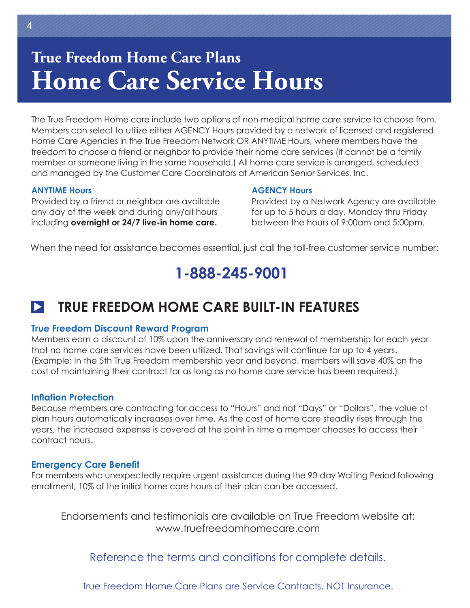## **True Freedom Home Care Plans True Freedom Home Care Plans Home Care Service Hours Home Care Service Hours**

The True Freedom Home care include two options of non-medical home care service to choose from. The True Freedom Home care include two options of non-medical home care service to choose from. Members can select to utilize either AGENCY Hours provided by a network of licensed and registered Members can select to utilize either AGENCY Hours provided by a network of licensed and registered Home Care Agencies in the True Freedom Network OR ANYTIME Hours, where members have the Home Care Agencies in the True Freedom Network OR ANYTIME Hours, where members have the freedom to choose a friend or neighbor to provide their home care services (it cannot be a family freedom to choose a friend or neighbor to provide their home care services (it cannot be a family member or someone living in the same household.) All home care service is arranged, scheduled member or someone living in the same household.) All home care service is arranged, scheduled and managed by the Customer Care Coordinators at American Senior Services, Inc. and managed by the Customer Care Coordinators at American Senior Services, Inc.

#### **ANYTIME Hours ANYTIME Hours**

Provided by a friend or neighbor are available Provided by a friend or neighbor are available any day of the week and during any/all hours any day of the week and during any/all hours including **overnight or 24/7 live-in home care.** including **overnight or 24/7 live-in home care.**

#### **AGENCY Hours AGENCY Hours**

Provided by a Network Agency are available Provided by a Network Agency are available for up to 5 hours a day, Monday thru Friday for up to 5 hours a day, Monday thru Friday between the hours of 9:00am and 5:00pm. between the hours of 9:00am and 5:00pm.

When the need for assistance becomes essential, just call the toll-free customer service number: When the need for assistance becomes essential, just call the toll-free customer service number:

## **1-888-245-9001 1-888-245-9001**

## **TRUE FREEDOM HOME CARE BUILT-IN FEATURES TRUE FREEDOM HOME CARE BUILT-IN FEATURES**

#### **True Freedom Discount Reward Program True Freedom Discount Reward Program**

Members earn a discount of 10% upon the anniversary and renewal of membership for each year Members earn a discount of 10% upon the anniversary and renewal of membership for each year that no home care services have been utilized. That savings will continue for up to 4 years. that no home care services have been utilized. That savings will continue for up to 4 years. (Example: In the 5th True Freedom membership year and beyond, members will save 40% on the (Example: In the 5th True Freedom membership year and beyond, members will save 40% on the cost of maintaining their contract for as long as no home care service has been required.) cost of maintaining their contract for as long as no home care service has been required.)

#### **Inflation Protection Inflation Protection**

Because members are contracting for access to "Hours" and not "Days" or "Dollars", the value of Because members are contracting for access to "Hours" and not "Days" or "Dollars", the value of plan hours automatically increases over time. As the cost of home care steadily rises through the plan hours automatically increases over time. As the cost of home care steadily rises through the years, the increased expense is covered at the point in time a member chooses to access their years, the increased expense is covered at the point in time a member chooses to access their contract hours. contract hours.

#### **Emergency Care Benefit Emergency Care Benefit**

For members who unexpectedly require urgent assistance during the 90-day Waiting Period following For members who unexpectedly require urgent assistance during the 90-day Waiting Period following enrollment, 10% of the initial home care hours of their plan can be accessed. enrollment, 10% of the initial home care hours of their plan can be accessed.

Endorsements and testimonials are available on True Freedom website at: Endorsements and testimonials are available on True Freedom website at: www.truefreedomhomecare.com www.truefreedomhomecare.com

Reference the terms and conditions for complete details. Reference the terms and conditions for complete details.

True Freedom Home Care Plans are Service Contracts, NOT Insurance. True Freedom Home Care Plans are Service Contracts, NOT Insurance.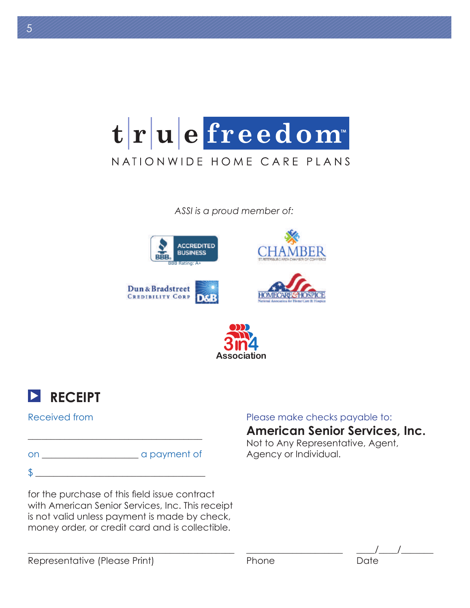

*ASSI is a proud member of: ASSI is a proud member of:*







#### Received from Received from

on \_\_\_\_\_\_\_\_\_\_\_\_\_\_\_\_\_\_\_\_\_ a payment of on \_\_\_\_\_\_\_\_\_\_\_\_\_\_\_\_\_\_\_\_\_ a payment of

\$ \_\_\_\_\_\_\_\_\_\_\_\_\_\_\_\_\_\_\_\_\_\_\_\_\_\_\_\_\_\_\_\_\_\_\_\_\_ \$ \_\_\_\_\_\_\_\_\_\_\_\_\_\_\_\_\_\_\_\_\_\_\_\_\_\_\_\_\_\_\_\_\_\_\_\_\_

\_\_\_\_\_\_\_\_\_\_\_\_\_\_\_\_\_\_\_\_\_\_\_\_\_\_\_\_\_\_\_\_\_\_\_\_\_\_

\_\_\_\_\_\_\_\_\_\_\_\_\_\_\_\_\_\_\_\_\_\_\_\_\_\_\_\_\_\_\_\_\_\_\_\_\_\_

for the purchase of this field issue contract for the purchase of this field issue contract with American Senior Services, Inc. This receipt with American Senior Services, Inc. This receipt is not valid unless payment is made by check, is not valid unless payment is made by check, money order, or credit card and is collectible. money order, or credit card and is collectible.

\_\_\_\_\_\_\_\_\_\_\_\_\_\_\_\_\_\_\_\_\_\_\_\_\_\_\_\_\_\_\_\_\_\_\_\_\_\_\_\_\_\_\_\_\_

\_\_\_\_\_\_\_\_\_\_\_\_\_\_\_\_\_\_\_\_\_\_\_\_\_\_\_\_\_\_\_\_\_\_\_\_\_\_\_\_\_\_\_\_\_

#### Please make checks payable to: Please make checks payable to:

### **American Senior Services, Inc. American Senior Services, Inc.**

Not to Any Representative, Agent, Not to Any Representative, Agent, Agency or Individual. Agency or Individual.

| Representative (Please Print) |  |
|-------------------------------|--|
|-------------------------------|--|

\_\_\_\_\_\_\_\_\_\_\_\_\_\_\_\_\_\_\_\_\_ \_\_\_\_/\_\_\_\_/\_\_\_\_\_\_\_ Phone Date Phone Date \_\_\_\_\_\_\_\_\_\_\_\_\_\_\_\_\_\_\_\_\_ \_\_\_\_/\_\_\_\_/\_\_\_\_\_\_\_